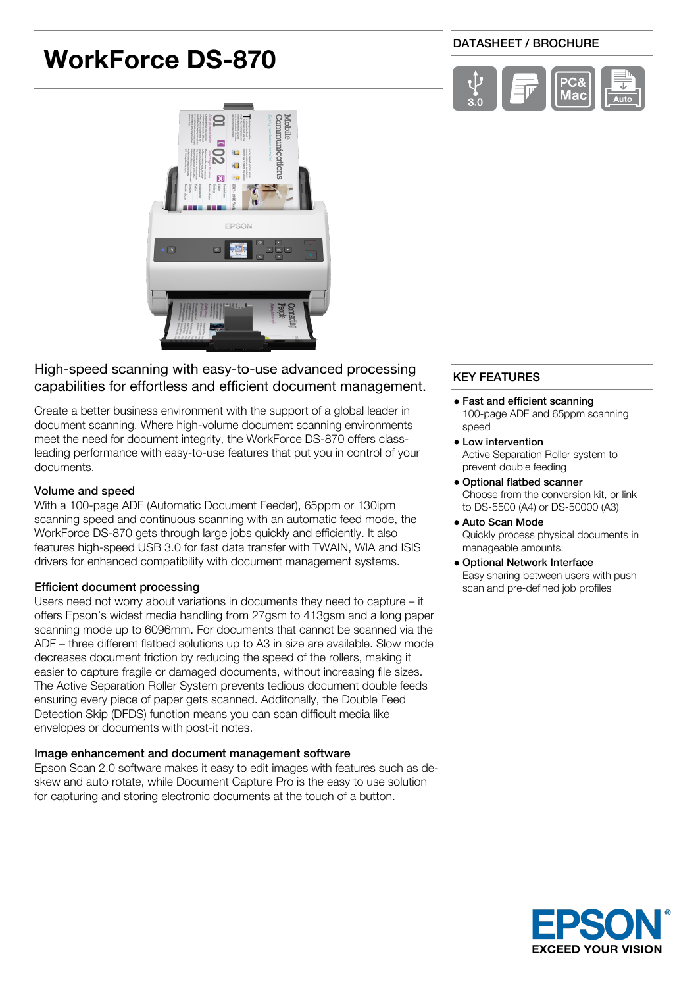# **WorkForce DS-870**

#### DATASHEET / BROCHURE





# High-speed scanning with easy-to-use advanced processing capabilities for effortless and efficient document management.

Create a better business environment with the support of a global leader in document scanning. Where high-volume document scanning environments meet the need for document integrity, the WorkForce DS-870 offers classleading performance with easy-to-use features that put you in control of your documents.

#### Volume and speed

With a 100-page ADF (Automatic Document Feeder), 65ppm or 130ipm scanning speed and continuous scanning with an automatic feed mode, the WorkForce DS-870 gets through large jobs quickly and efficiently. It also features high-speed USB 3.0 for fast data transfer with TWAIN, WIA and ISIS drivers for enhanced compatibility with document management systems.

### Efficient document processing

Users need not worry about variations in documents they need to capture – it offers Epson's widest media handling from 27gsm to 413gsm and a long paper scanning mode up to 6096mm. For documents that cannot be scanned via the ADF – three different flatbed solutions up to A3 in size are available. Slow mode decreases document friction by reducing the speed of the rollers, making it easier to capture fragile or damaged documents, without increasing file sizes. The Active Separation Roller System prevents tedious document double feeds ensuring every piece of paper gets scanned. Additonally, the Double Feed Detection Skip (DFDS) function means you can scan difficult media like envelopes or documents with post-it notes.

#### Image enhancement and document management software

Epson Scan 2.0 software makes it easy to edit images with features such as deskew and auto rotate, while Document Capture Pro is the easy to use solution for capturing and storing electronic documents at the touch of a button.

# KEY FEATURES

- Fast and efficient scanning 100-page ADF and 65ppm scanning speed
- Low intervention Active Separation Roller system to prevent double feeding
- Optional flatbed scanner Choose from the conversion kit, or link to DS-5500 (A4) or DS-50000 (A3)
- Auto Scan Mode Quickly process physical documents in manageable amounts.
- Optional Network Interface Easy sharing between users with push scan and pre-defined job profiles

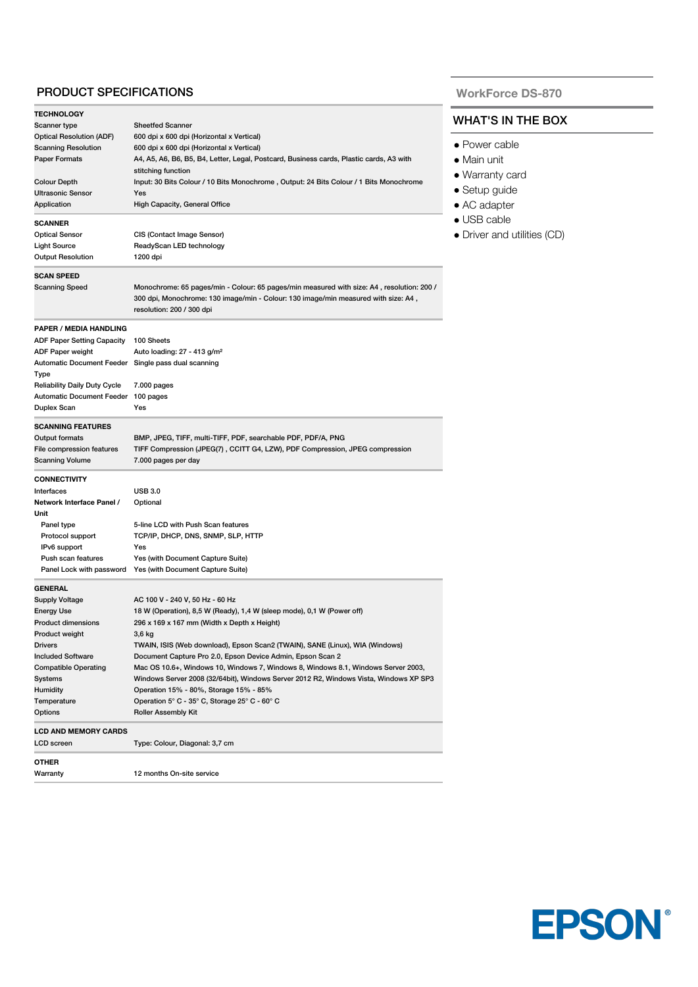### PRODUCT SPECIFICATIONS

| <b>TECHNOLOGY</b>                                           |                                                                                                                                                                                                              |
|-------------------------------------------------------------|--------------------------------------------------------------------------------------------------------------------------------------------------------------------------------------------------------------|
| Scanner type                                                | <b>Sheetfed Scanner</b>                                                                                                                                                                                      |
| <b>Optical Resolution (ADF)</b>                             | 600 dpi x 600 dpi (Horizontal x Vertical)                                                                                                                                                                    |
| <b>Scanning Resolution</b>                                  | 600 dpi x 600 dpi (Horizontal x Vertical)                                                                                                                                                                    |
| <b>Paper Formats</b>                                        | A4, A5, A6, B6, B5, B4, Letter, Legal, Postcard, Business cards, Plastic cards, A3 with<br>stitching function                                                                                                |
| <b>Colour Depth</b>                                         | Input: 30 Bits Colour / 10 Bits Monochrome, Output: 24 Bits Colour / 1 Bits Monochrome                                                                                                                       |
| <b>Ultrasonic Sensor</b>                                    | Yes                                                                                                                                                                                                          |
| Application                                                 | High Capacity, General Office                                                                                                                                                                                |
| <b>SCANNER</b>                                              |                                                                                                                                                                                                              |
| <b>Optical Sensor</b>                                       | CIS (Contact Image Sensor)                                                                                                                                                                                   |
| Light Source                                                | ReadyScan LED technology                                                                                                                                                                                     |
| <b>Output Resolution</b>                                    | 1200 dpi                                                                                                                                                                                                     |
| <b>SCAN SPEED</b>                                           |                                                                                                                                                                                                              |
| Scanning Speed                                              | Monochrome: 65 pages/min - Colour: 65 pages/min measured with size: A4, resolution: 200 /<br>300 dpi, Monochrome: 130 image/min - Colour: 130 image/min measured with size: A4,<br>resolution: 200 / 300 dpi |
| PAPER / MEDIA HANDLING                                      |                                                                                                                                                                                                              |
| ADF Paper Setting Capacity                                  | 100 Sheets                                                                                                                                                                                                   |
| ADF Paper weight                                            | Auto loading: 27 - 413 g/m <sup>2</sup>                                                                                                                                                                      |
| Automatic Document Feeder Single pass dual scanning<br>Type |                                                                                                                                                                                                              |
| <b>Reliability Daily Duty Cycle</b>                         | 7.000 pages                                                                                                                                                                                                  |
| Automatic Document Feeder                                   | 100 pages                                                                                                                                                                                                    |
| Duplex Scan                                                 | Yes                                                                                                                                                                                                          |
| <b>SCANNING FEATURES</b>                                    |                                                                                                                                                                                                              |
| Output formats                                              | BMP, JPEG, TIFF, multi-TIFF, PDF, searchable PDF, PDF/A, PNG                                                                                                                                                 |
| File compression features                                   | TIFF Compression (JPEG(7), CCITT G4, LZW), PDF Compression, JPEG compression                                                                                                                                 |
| <b>Scanning Volume</b>                                      | 7.000 pages per day                                                                                                                                                                                          |
| <b>CONNECTIVITY</b>                                         |                                                                                                                                                                                                              |
| Interfaces                                                  | <b>USB 3.0</b>                                                                                                                                                                                               |
| Network Interface Panel /                                   | Optional                                                                                                                                                                                                     |
| Unit                                                        |                                                                                                                                                                                                              |
| Panel type                                                  | 5-line LCD with Push Scan features                                                                                                                                                                           |
| Protocol support                                            | TCP/IP, DHCP, DNS, SNMP, SLP, HTTP                                                                                                                                                                           |
| IPv6 support                                                | Yes                                                                                                                                                                                                          |
| Push scan features                                          | Yes (with Document Capture Suite)                                                                                                                                                                            |
| Panel Lock with password                                    | Yes (with Document Capture Suite)                                                                                                                                                                            |
| GENERAL                                                     |                                                                                                                                                                                                              |
| <b>Supply Voltage</b>                                       | AC 100 V - 240 V, 50 Hz - 60 Hz                                                                                                                                                                              |
| <b>Energy Use</b>                                           | 18 W (Operation), 8,5 W (Ready), 1,4 W (sleep mode), 0,1 W (Power off)                                                                                                                                       |
| <b>Product dimensions</b>                                   | 296 x 169 x 167 mm (Width x Depth x Height)                                                                                                                                                                  |
| <b>Product weight</b>                                       | 3,6 kg                                                                                                                                                                                                       |
| Drivers                                                     | TWAIN, ISIS (Web download), Epson Scan2 (TWAIN), SANE (Linux), WIA (Windows)                                                                                                                                 |
| <b>Included Software</b>                                    | Document Capture Pro 2.0, Epson Device Admin, Epson Scan 2                                                                                                                                                   |
| <b>Compatible Operating</b>                                 | Mac OS 10.6+, Windows 10, Windows 7, Windows 8, Windows 8.1, Windows Server 2003,                                                                                                                            |
| Systems                                                     | Windows Server 2008 (32/64bit), Windows Server 2012 R2, Windows Vista, Windows XP SP3                                                                                                                        |
| <b>Humidity</b>                                             | Operation 15% - 80%, Storage 15% - 85%                                                                                                                                                                       |
| Temperature<br>Options                                      | Operation 5° C - 35° C, Storage 25° C - 60° C<br><b>Roller Assembly Kit</b>                                                                                                                                  |
|                                                             |                                                                                                                                                                                                              |
| <b>LCD AND MEMORY CARDS</b><br>LCD screen                   | Type: Colour, Diagonal: 3,7 cm                                                                                                                                                                               |
|                                                             |                                                                                                                                                                                                              |
| OTHER<br>Warranty                                           | 12 months On-site service                                                                                                                                                                                    |
|                                                             |                                                                                                                                                                                                              |

# **WorkForce DS-870**

# WHAT'S IN THE BOX

- Power cable
- Main unit
- Warranty card
- Setup guide
- AC adapter
- USB cable
- Driver and utilities (CD)